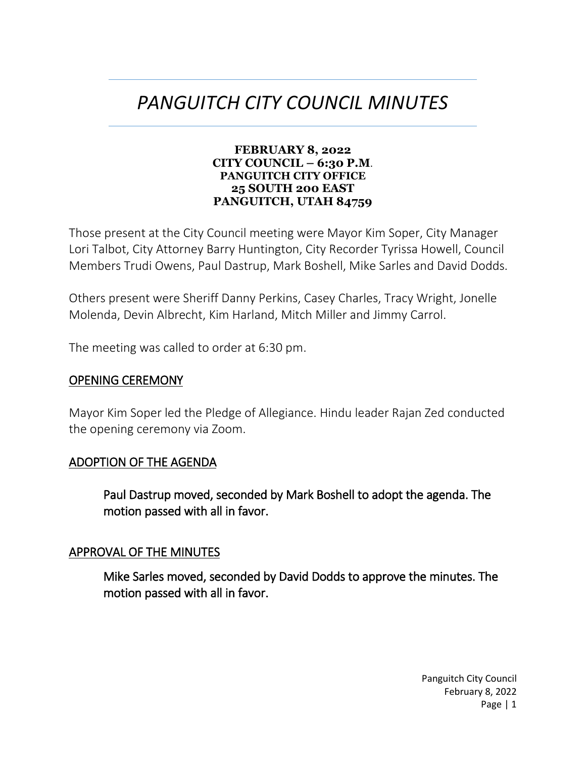# *PANGUITCH CITY COUNCIL MINUTES*

#### **FEBRUARY 8, 2022 CITY COUNCIL – 6:30 P.M**. **PANGUITCH CITY OFFICE 25 SOUTH 200 EAST PANGUITCH, UTAH 84759**

Those present at the City Council meeting were Mayor Kim Soper, City Manager Lori Talbot, City Attorney Barry Huntington, City Recorder Tyrissa Howell, Council Members Trudi Owens, Paul Dastrup, Mark Boshell, Mike Sarles and David Dodds.

Others present were Sheriff Danny Perkins, Casey Charles, Tracy Wright, Jonelle Molenda, Devin Albrecht, Kim Harland, Mitch Miller and Jimmy Carrol.

The meeting was called to order at 6:30 pm.

#### OPENING CEREMONY

Mayor Kim Soper led the Pledge of Allegiance. Hindu leader Rajan Zed conducted the opening ceremony via Zoom.

#### ADOPTION OF THE AGENDA

Paul Dastrup moved, seconded by Mark Boshell to adopt the agenda. The motion passed with all in favor.

#### APPROVAL OF THE MINUTES

Mike Sarles moved, seconded by David Dodds to approve the minutes. The motion passed with all in favor.

> Panguitch City Council February 8, 2022 Page | 1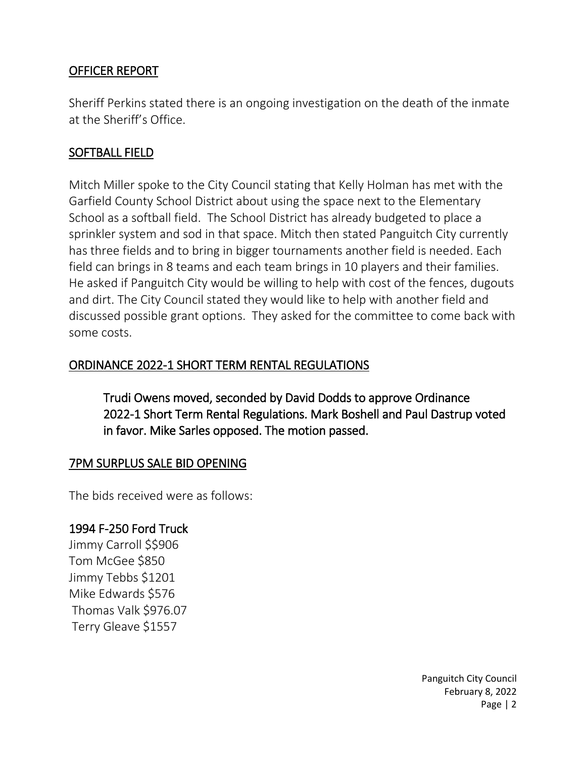## OFFICER REPORT

Sheriff Perkins stated there is an ongoing investigation on the death of the inmate at the Sheriff's Office.

#### SOFTBALL FIELD

Mitch Miller spoke to the City Council stating that Kelly Holman has met with the Garfield County School District about using the space next to the Elementary School as a softball field. The School District has already budgeted to place a sprinkler system and sod in that space. Mitch then stated Panguitch City currently has three fields and to bring in bigger tournaments another field is needed. Each field can brings in 8 teams and each team brings in 10 players and their families. He asked if Panguitch City would be willing to help with cost of the fences, dugouts and dirt. The City Council stated they would like to help with another field and discussed possible grant options. They asked for the committee to come back with some costs.

## ORDINANCE 2022-1 SHORT TERM RENTAL REGULATIONS

Trudi Owens moved, seconded by David Dodds to approve Ordinance 2022-1 Short Term Rental Regulations. Mark Boshell and Paul Dastrup voted in favor. Mike Sarles opposed. The motion passed.

## 7PM SURPLUS SALE BID OPENING

The bids received were as follows:

#### 1994 F-250 Ford Truck

Jimmy Carroll \$\$906 Tom McGee \$850 Jimmy Tebbs \$1201 Mike Edwards \$576 Thomas Valk \$976.07 Terry Gleave \$1557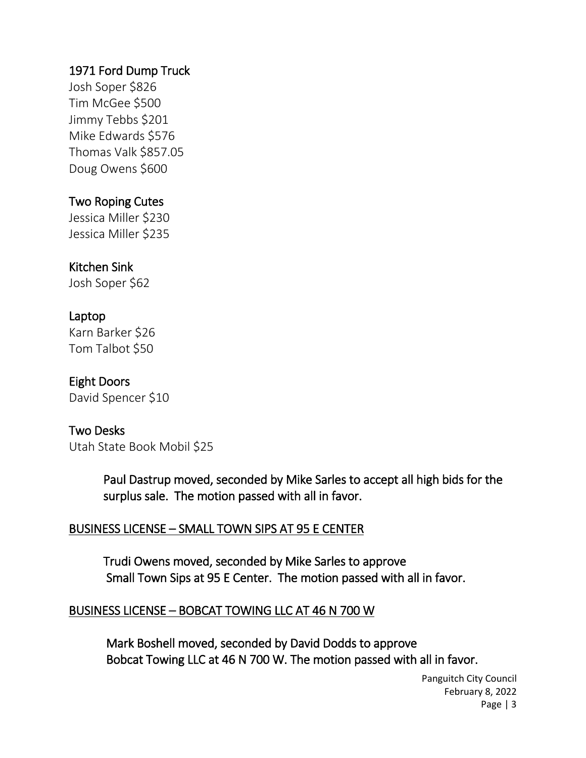## 1971 Ford Dump Truck

Josh Soper \$826 Tim McGee \$500 Jimmy Tebbs \$201 Mike Edwards \$576 Thomas Valk \$857.05 Doug Owens \$600

## Two Roping Cutes

Jessica Miller \$230 Jessica Miller \$235

## Kitchen Sink

Josh Soper \$62

#### Laptop

Karn Barker \$26 Tom Talbot \$50

## Eight Doors

David Spencer \$10

#### Two Desks

Utah State Book Mobil \$25

Paul Dastrup moved, seconded by Mike Sarles to accept all high bids for the surplus sale. The motion passed with all in favor.

#### BUSINESS LICENSE – SMALL TOWN SIPS AT 95 E CENTER

Trudi Owens moved, seconded by Mike Sarles to approve Small Town Sips at 95 E Center. The motion passed with all in favor.

#### BUSINESS LICENSE – BOBCAT TOWING LLC AT 46 N 700 W

Mark Boshell moved, seconded by David Dodds to approve Bobcat Towing LLC at 46 N 700 W. The motion passed with all in favor.

> Panguitch City Council February 8, 2022 Page | 3